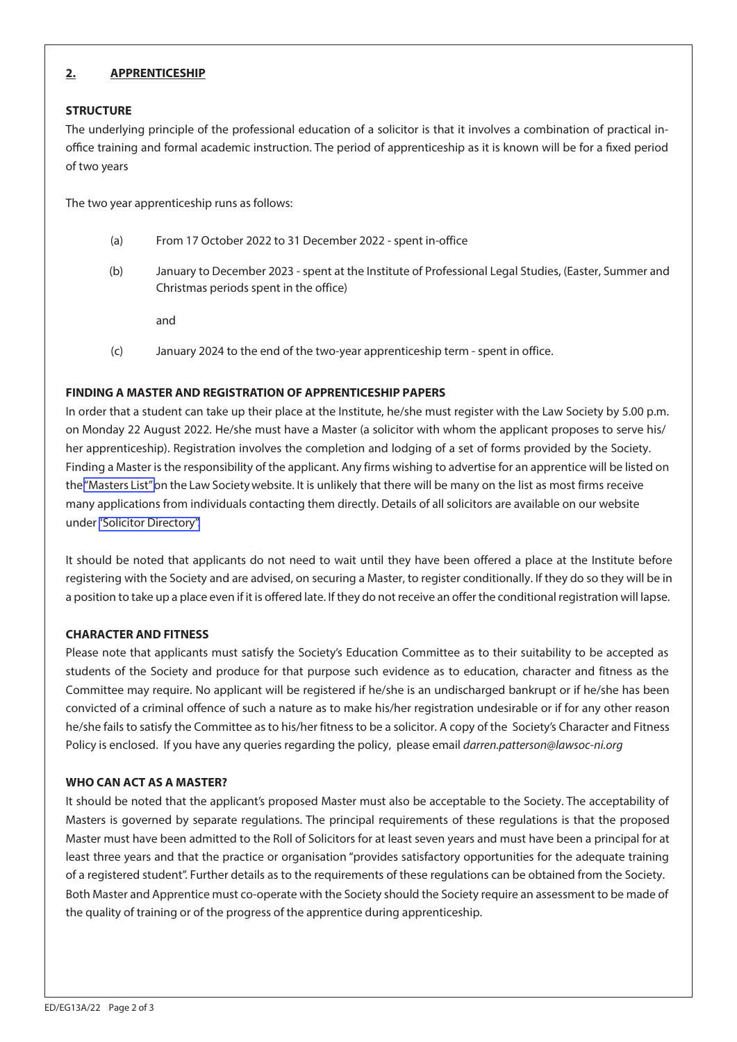# **2. APPRENTICESHIP**

## **STRUCTURE**

The underlying principle of the professional education of a solicitor is that it involves a combination of practical inoffice training and formal academic instruction. The period of apprenticeship as it is known will be for a fixed period of two years

The two year apprenticeship runs as follows:

- (a) From 17 October 2022 to 31 December 2022 spent in-office
- (b) January to December 2023 spent at the Institute of Professional Legal Studies, (Easter, Summer and Christmas periods spent in the office)

and

(c) January 2024 to the end of the two-year apprenticeship term - spent in office.

## **FINDING A MASTER AND REGISTRATION OF APPRENTICESHIP PAPERS**

In order that a student can take up their place at the Institute, he/she must register with the Law Society by 5.00 p.m. on Monday 22 August 2022. He/she must have a Master (a solicitor with whom the applicant proposes to serve his/ her apprenticeship). Registration involves the completion and lodging of a set of forms provided by the Society. Finding a Master is the responsibility of the applicant. Any firms wishing to advertise for an apprentice will be listed on the "Masters List" on the Law Society website. It is unlikely that there will be many on the list as most firms receive [many applicatio](https://www.lawsoc-ni.org/masters-list)ns from individuals contacting them directly. Details of all solicitors are available on our website under "Solicitor Directory".

It should be noted that applicants do not need to wait until they have been offered a place at the Institute before registering with the Society and are advised, on securing a Master, to register conditionally. If they do so they will be in a position to take up a place even if it is offered late. If they do not receive an offer the conditional registration will lapse.

### **CHARACTER AND FITNESS**

Please note that applicants must satisfy the Society's Education Committee as to their suitability to be accepted as students of the Society and produce for that purpose such evidence as to education, character and fitness as the Committee may require. No applicant will be registered if he/she is an undischarged bankrupt or if he/she has been convicted of a criminal offence of such a nature as to make his/her registration undesirable or if for any other reason he/she fails to satisfy the Committee as to his/her fitness to be a solicitor. A copy of the Society's Character and Fitness Policy is enclosed. If you have any queries regarding the policy, please email darren.patterson*@lawsoc-ni.org*

# **WHO CAN ACT AS A MASTER?**

It should be noted that the applicant's proposed Master must also be acceptable to the Society. The acceptability of Masters is governed by separate regulations. The principal requirements of these regulations is that the proposed Master must have been admitted to the Roll of Solicitors for at least seven years and must have been a principal for at least three years and that the practice or organisation "provides satisfactory opportunities for the adequate training of a registered student". Further details as to the requirements of these regulations can be obtained from the Society. Both Master and Apprentice must co-operate with the Society should the Society require an assessment to be made of the quality of training or of the progress of the apprentice during apprenticeship.